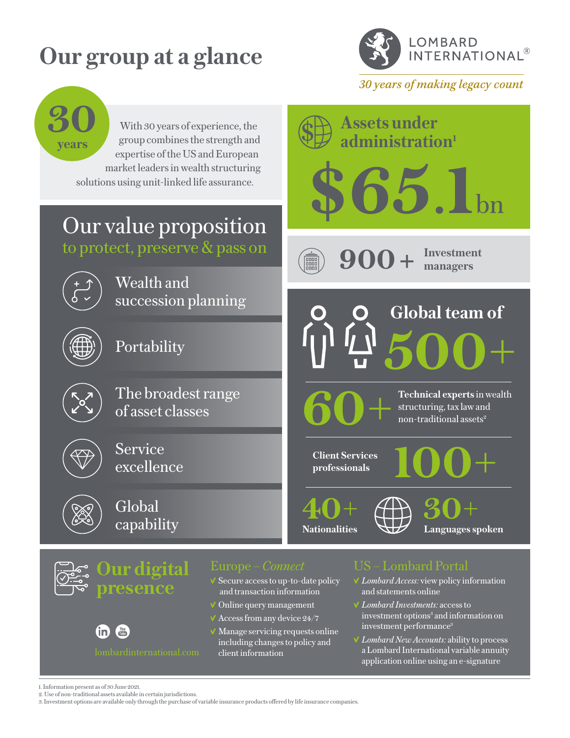# **Our group at a glance**



30 years of making legacy count



- Manage servicing requests online including changes to policy and lombardinternational.com client information
- investment performance<sup>3</sup>
- *Lombard New Accounts:* ability to process a Lombard International variable annuity application online using an e-signature

 $\mathbf{in}$  $\frac{\text{You}}{\text{The}}$ 

<sup>1.</sup> Information present as of 30 June 2021.

<sup>2.</sup> Use of non-traditional assets available in certain jurisdictions.

<sup>3.</sup> Investment options are available only through the purchase of variable insurance products offered by life insurance companies.